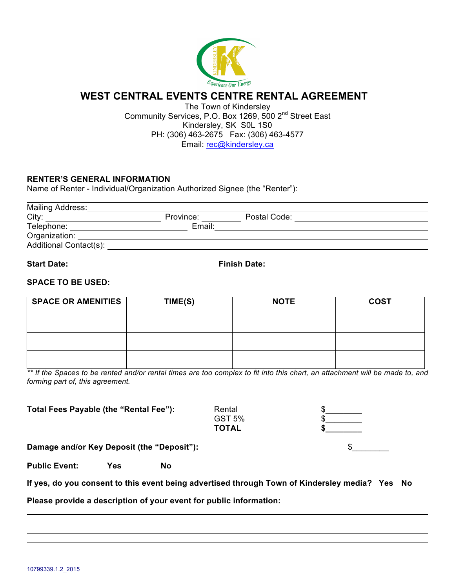

## **WEST CENTRAL EVENTS CENTRE RENTAL AGREEMENT**

The Town of Kindersley Community Services, P.O. Box 1269, 500 2nd Street East Kindersley, SK S0L 1S0 PH: (306) 463-2675 Fax: (306) 463-4577 Email: rec@kindersley.ca

## **RENTER'S GENERAL INFORMATION**

Name of Renter - Individual/Organization Authorized Signee (the "Renter"):

| <b>Mailing Address:</b> |                     |              |  |
|-------------------------|---------------------|--------------|--|
| City:                   | Province:           | Postal Code: |  |
| Telephone:              | Email:              |              |  |
| Organization:           |                     |              |  |
| Additional Contact(s):  |                     |              |  |
| <b>Start Date:</b>      | <b>Finish Date:</b> |              |  |

# **SPACE TO BE USED:**

| <b>SPACE OR AMENITIES</b> | TIME(S) | <b>NOTE</b> | <b>COST</b> |
|---------------------------|---------|-------------|-------------|
|                           |         |             |             |
|                           |         |             |             |
|                           |         |             |             |

*\*\* If the Spaces to be rented and/or rental times are too complex to fit into this chart, an attachment will be made to, and forming part of, this agreement.*

Total Fees Payable (the "Rental Fee"):

| Rental |  |  |
|--------|--|--|
| GST 5% |  |  |
| TOTAL  |  |  |



**Damage and/or Key Deposit (the "Deposit"):** \$\_\_\_\_\_\_\_\_

**Public Event: Yes No**

**If yes, do you consent to this event being advertised through Town of Kindersley media? Yes No**

**Please provide a description of your event for public information:**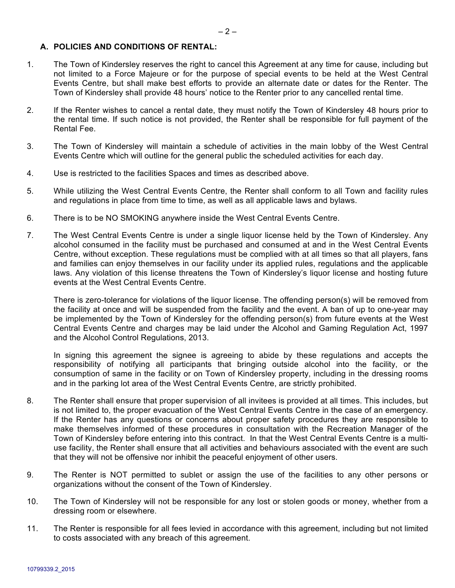#### **A. POLICIES AND CONDITIONS OF RENTAL:**

- 1. The Town of Kindersley reserves the right to cancel this Agreement at any time for cause, including but not limited to a Force Majeure or for the purpose of special events to be held at the West Central Events Centre, but shall make best efforts to provide an alternate date or dates for the Renter. The Town of Kindersley shall provide 48 hours' notice to the Renter prior to any cancelled rental time.
- 2. If the Renter wishes to cancel a rental date, they must notify the Town of Kindersley 48 hours prior to the rental time. If such notice is not provided, the Renter shall be responsible for full payment of the Rental Fee.
- 3. The Town of Kindersley will maintain a schedule of activities in the main lobby of the West Central Events Centre which will outline for the general public the scheduled activities for each day.
- 4. Use is restricted to the facilities Spaces and times as described above.
- 5. While utilizing the West Central Events Centre, the Renter shall conform to all Town and facility rules and regulations in place from time to time, as well as all applicable laws and bylaws.
- 6. There is to be NO SMOKING anywhere inside the West Central Events Centre.
- 7. The West Central Events Centre is under a single liquor license held by the Town of Kindersley. Any alcohol consumed in the facility must be purchased and consumed at and in the West Central Events Centre, without exception. These regulations must be complied with at all times so that all players, fans and families can enjoy themselves in our facility under its applied rules, regulations and the applicable laws. Any violation of this license threatens the Town of Kindersley's liquor license and hosting future events at the West Central Events Centre.

There is zero-tolerance for violations of the liquor license. The offending person(s) will be removed from the facility at once and will be suspended from the facility and the event. A ban of up to one-year may be implemented by the Town of Kindersley for the offending person(s) from future events at the West Central Events Centre and charges may be laid under the Alcohol and Gaming Regulation Act, 1997 and the Alcohol Control Regulations, 2013.

In signing this agreement the signee is agreeing to abide by these regulations and accepts the responsibility of notifying all participants that bringing outside alcohol into the facility, or the consumption of same in the facility or on Town of Kindersley property, including in the dressing rooms and in the parking lot area of the West Central Events Centre, are strictly prohibited.

- 8. The Renter shall ensure that proper supervision of all invitees is provided at all times. This includes, but is not limited to, the proper evacuation of the West Central Events Centre in the case of an emergency. If the Renter has any questions or concerns about proper safety procedures they are responsible to make themselves informed of these procedures in consultation with the Recreation Manager of the Town of Kindersley before entering into this contract. In that the West Central Events Centre is a multiuse facility, the Renter shall ensure that all activities and behaviours associated with the event are such that they will not be offensive nor inhibit the peaceful enjoyment of other users.
- 9. The Renter is NOT permitted to sublet or assign the use of the facilities to any other persons or organizations without the consent of the Town of Kindersley.
- 10. The Town of Kindersley will not be responsible for any lost or stolen goods or money, whether from a dressing room or elsewhere.
- 11. The Renter is responsible for all fees levied in accordance with this agreement, including but not limited to costs associated with any breach of this agreement.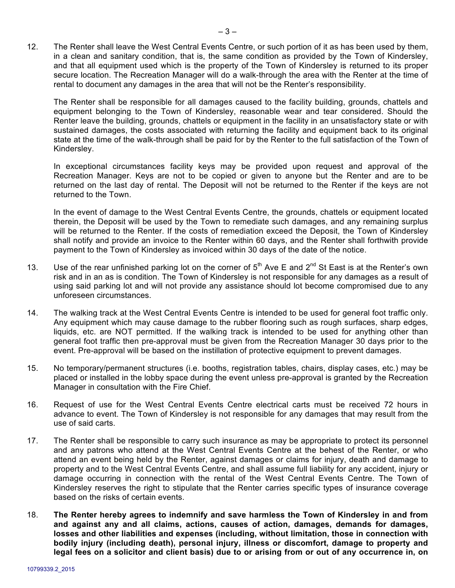12. The Renter shall leave the West Central Events Centre, or such portion of it as has been used by them, in a clean and sanitary condition, that is, the same condition as provided by the Town of Kindersley, and that all equipment used which is the property of the Town of Kindersley is returned to its proper secure location. The Recreation Manager will do a walk-through the area with the Renter at the time of rental to document any damages in the area that will not be the Renter's responsibility.

The Renter shall be responsible for all damages caused to the facility building, grounds, chattels and equipment belonging to the Town of Kindersley, reasonable wear and tear considered. Should the Renter leave the building, grounds, chattels or equipment in the facility in an unsatisfactory state or with sustained damages, the costs associated with returning the facility and equipment back to its original state at the time of the walk-through shall be paid for by the Renter to the full satisfaction of the Town of Kindersley.

In exceptional circumstances facility keys may be provided upon request and approval of the Recreation Manager. Keys are not to be copied or given to anyone but the Renter and are to be returned on the last day of rental. The Deposit will not be returned to the Renter if the keys are not returned to the Town.

In the event of damage to the West Central Events Centre, the grounds, chattels or equipment located therein, the Deposit will be used by the Town to remediate such damages, and any remaining surplus will be returned to the Renter. If the costs of remediation exceed the Deposit, the Town of Kindersley shall notify and provide an invoice to the Renter within 60 days, and the Renter shall forthwith provide payment to the Town of Kindersley as invoiced within 30 days of the date of the notice.

- 13. Use of the rear unfinished parking lot on the corner of  $5<sup>th</sup>$  Ave E and  $2<sup>nd</sup>$  St East is at the Renter's own risk and in an as is condition. The Town of Kindersley is not responsible for any damages as a result of using said parking lot and will not provide any assistance should lot become compromised due to any unforeseen circumstances.
- 14. The walking track at the West Central Events Centre is intended to be used for general foot traffic only. Any equipment which may cause damage to the rubber flooring such as rough surfaces, sharp edges, liquids, etc. are NOT permitted. If the walking track is intended to be used for anything other than general foot traffic then pre-approval must be given from the Recreation Manager 30 days prior to the event. Pre-approval will be based on the instillation of protective equipment to prevent damages.
- 15. No temporary/permanent structures (i.e. booths, registration tables, chairs, display cases, etc.) may be placed or installed in the lobby space during the event unless pre-approval is granted by the Recreation Manager in consultation with the Fire Chief.
- 16. Request of use for the West Central Events Centre electrical carts must be received 72 hours in advance to event. The Town of Kindersley is not responsible for any damages that may result from the use of said carts.
- 17. The Renter shall be responsible to carry such insurance as may be appropriate to protect its personnel and any patrons who attend at the West Central Events Centre at the behest of the Renter, or who attend an event being held by the Renter, against damages or claims for injury, death and damage to property and to the West Central Events Centre, and shall assume full liability for any accident, injury or damage occurring in connection with the rental of the West Central Events Centre. The Town of Kindersley reserves the right to stipulate that the Renter carries specific types of insurance coverage based on the risks of certain events.
- 18. **The Renter hereby agrees to indemnify and save harmless the Town of Kindersley in and from and against any and all claims, actions, causes of action, damages, demands for damages, losses and other liabilities and expenses (including, without limitation, those in connection with bodily injury (including death), personal injury, illness or discomfort, damage to property and legal fees on a solicitor and client basis) due to or arising from or out of any occurrence in, on**